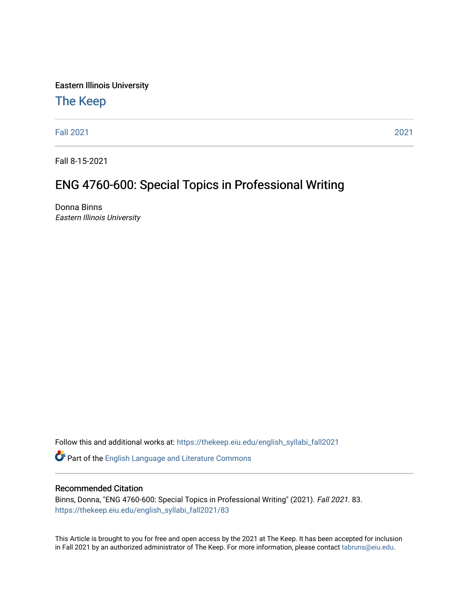Eastern Illinois University

# [The Keep](https://thekeep.eiu.edu/)

[Fall 2021](https://thekeep.eiu.edu/english_syllabi_fall2021) [2021](https://thekeep.eiu.edu/english_syllabi2021) 

Fall 8-15-2021

# ENG 4760-600: Special Topics in Professional Writing

Donna Binns Eastern Illinois University

Follow this and additional works at: [https://thekeep.eiu.edu/english\\_syllabi\\_fall2021](https://thekeep.eiu.edu/english_syllabi_fall2021?utm_source=thekeep.eiu.edu%2Fenglish_syllabi_fall2021%2F83&utm_medium=PDF&utm_campaign=PDFCoverPages) 

Part of the [English Language and Literature Commons](http://network.bepress.com/hgg/discipline/455?utm_source=thekeep.eiu.edu%2Fenglish_syllabi_fall2021%2F83&utm_medium=PDF&utm_campaign=PDFCoverPages)

#### Recommended Citation

Binns, Donna, "ENG 4760-600: Special Topics in Professional Writing" (2021). Fall 2021. 83. [https://thekeep.eiu.edu/english\\_syllabi\\_fall2021/83](https://thekeep.eiu.edu/english_syllabi_fall2021/83?utm_source=thekeep.eiu.edu%2Fenglish_syllabi_fall2021%2F83&utm_medium=PDF&utm_campaign=PDFCoverPages)

This Article is brought to you for free and open access by the 2021 at The Keep. It has been accepted for inclusion in Fall 2021 by an authorized administrator of The Keep. For more information, please contact [tabruns@eiu.edu](mailto:tabruns@eiu.edu).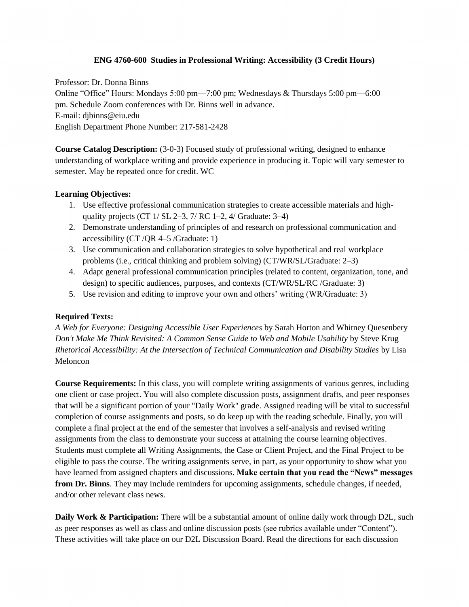## **ENG 4760-600 Studies in Professional Writing: Accessibility (3 Credit Hours)**

Professor: Dr. Donna Binns Online "Office" Hours: Mondays 5:00 pm—7:00 pm; Wednesdays & Thursdays 5:00 pm—6:00 pm. Schedule Zoom conferences with Dr. Binns well in advance. E-mail: djbinns@eiu.ed[u](mailto:djbinns@eagle.cc.ukans.edu) English Department Phone Number: 217-581-2428

**Course Catalog Description:** (3-0-3) Focused study of professional writing, designed to enhance understanding of workplace writing and provide experience in producing it. Topic will vary semester to semester. May be repeated once for credit. WC

## **Learning Objectives:**

- 1. Use effective professional communication strategies to create accessible materials and highquality projects (CT  $1/$  SL  $2-3$ ,  $7/$  RC  $1-2$ ,  $4/$  Graduate:  $3-4)$ )
- 2. Demonstrate understanding of principles of and research on professional communication and accessibility (CT /QR 4–5 /Graduate: 1)
- 3. Use communication and collaboration strategies to solve hypothetical and real workplace problems (i.e., critical thinking and problem solving) (CT/WR/SL/Graduate: 2–3)
- 4. Adapt general professional communication principles (related to content, organization, tone, and design) to specific audiences, purposes, and contexts (CT/WR/SL/RC /Graduate: 3)
- 5. Use revision and editing to improve your own and others' writing (WR/Graduate: 3)

# **Required Texts:**

*A Web for Everyone: Designing Accessible User Experiences* by Sarah Horton and Whitney Quesenbery *Don't Make Me Think Revisited: A Common Sense Guide to Web and Mobile Usability* by Steve Krug *Rhetorical Accessibility: At the Intersection of Technical Communication and Disability Studies* by Lisa Meloncon

**Course Requirements:** In this class, you will complete writing assignments of various genres, including one client or case project. You will also complete discussion posts, assignment drafts, and peer responses that will be a significant portion of your "Daily Work" grade. Assigned reading will be vital to successful completion of course assignments and posts, so do keep up with the reading schedule. Finally, you will complete a final project at the end of the semester that involves a self-analysis and revised writing assignments from the class to demonstrate your success at attaining the course learning objectives. Students must complete all Writing Assignments, the Case or Client Project, and the Final Project to be eligible to pass the course. The writing assignments serve, in part, as your opportunity to show what you have learned from assigned chapters and discussions. **Make certain that you read the "News" messages from Dr. Binns**. They may include reminders for upcoming assignments, schedule changes, if needed, and/or other relevant class news.

**Daily Work & Participation:** There will be a substantial amount of online daily work through D2L, such as peer responses as well as class and online discussion posts (see rubrics available under "Content"). These activities will take place on our D2L Discussion Board. Read the directions for each discussion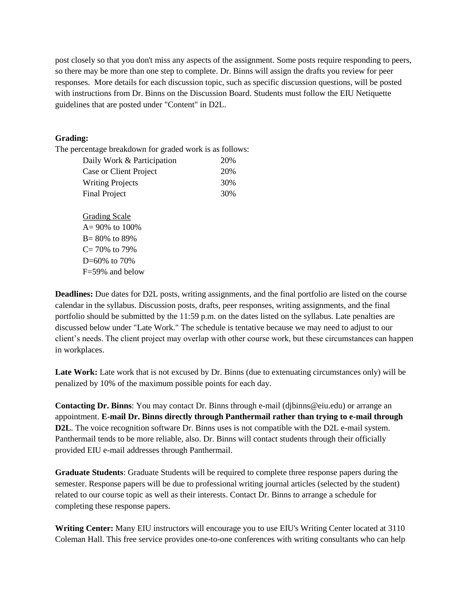post closely so that you don't miss any aspects of the assignment. Some posts require responding to peers, so there may be more than one step to complete. Dr. Binns will assign the drafts you review for peer responses. More details for each discussion topic, such as specific discussion questions, will be posted with instructions from Dr. Binns on the Discussion Board. Students must follow the EIU Netiquette guidelines that are posted under "Content" in D2L.

#### **Grading:**

B= 80% to 89%  $C= 70\%$  to 79%  $D=60\%$  to 70%

The percentage breakdown for graded work is as follows:

| Daily Work & Participation | 20% |
|----------------------------|-----|
| Case or Client Project     | 20% |
| <b>Writing Projects</b>    | 30% |
| <b>Final Project</b>       | 30% |
| <b>Grading Scale</b>       |     |
| $A = 90\%$ to 100%         |     |

 F=59% and below **Deadlines:** Due dates for D2L posts, writing assignments, and the final portfolio are listed on the course calendar in the syllabus. Discussion posts, drafts, peer responses, writing assignments, and the final portfolio should be submitted by the 11:59 p.m. on the dates listed on the syllabus. Late penalties are discussed below under "Late Work." The schedule is tentative because we may need to adjust to our client's needs. The client project may overlap with other course work, but these circumstances can happen in workplaces.

**Late Work:** Late work that is not excused by Dr. Binns (due to extenuating circumstances only) will be penalized by 10% of the maximum possible points for each day.

**Contacting Dr. Binns**: You may contact Dr. Binns through e-mail (djbinns@eiu.edu) or arrange an appointment. **E-mail Dr. Binns directly through Panthermail rather than trying to e-mail through D2L**. The voice recognition software Dr. Binns uses is not compatible with the D2L e-mail system. Panthermail tends to be more reliable, also. Dr. Binns will contact students through their officially provided EIU e-mail addresses through Panthermail.

**Graduate Students**: Graduate Students will be required to complete three response papers during the semester. Response papers will be due to professional writing journal articles (selected by the student) related to our course topic as well as their interests. Contact Dr. Binns to arrange a schedule for completing these response papers.

**Writing Center:** Many EIU instructors will encourage you to use EIU's Writing Center located at 3110 Coleman Hall. This free service provides one-to-one conferences with writing consultants who can help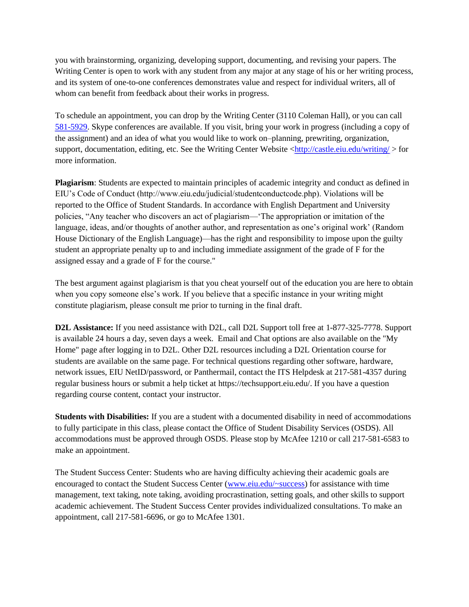you with brainstorming, organizing, developing support, documenting, and revising your papers. The Writing Center is open to work with any student from any major at any stage of his or her writing process, and its system of one-to-one conferences demonstrates value and respect for individual writers, all of whom can benefit from feedback about their works in progress.

To schedule an appointment, you can drop by the Writing Center (3110 Coleman Hall), or you can call [581-5929.](callto:+1581-5929) Skype conferences are available. If you visit, bring your work in progress (including a copy of the assignment) and an idea of what you would like to work on–planning, prewriting, organization, support, documentation, editing, etc. See the Writing Center Website [<http://castle.eiu.edu/writing/](http://castle.eiu.edu/writing/) > for more information.

**Plagiarism**: Students are expected to maintain principles of academic integrity and conduct as defined in EIU's Code of Conduct (http://www.eiu.edu/judicial/studentconductcode.php). Violations will be reported to the Office of Student Standards. In accordance with English Department and University policies, "Any teacher who discovers an act of plagiarism—'The appropriation or imitation of the language, ideas, and/or thoughts of another author, and representation as one's original work' (Random House Dictionary of the English Language)—has the right and responsibility to impose upon the guilty student an appropriate penalty up to and including immediate assignment of the grade of F for the assigned essay and a grade of F for the course."

The best argument against plagiarism is that you cheat yourself out of the education you are here to obtain when you copy someone else's work. If you believe that a specific instance in your writing might constitute plagiarism, please consult me prior to turning in the final draft.

**D2L Assistance:** If you need assistance with D2L, call D2L Support toll free at 1-877-325-7778. Support is available 24 hours a day, seven days a week. Email and Chat options are also available on the "My Home" page after logging in to D2L. Other D2L resources including a D2L Orientation course for students are available on the same page. For technical questions regarding other software, hardware, network issues, EIU NetID/password, or Panthermail, contact the ITS Helpdesk at 217-581-4357 during regular business hours or submit a help ticket at https://techsupport.eiu.edu/. If you have a question regarding course content, contact your instructor.

**Students with Disabilities:** If you are a student with a documented disability in need of accommodations to fully participate in this class, please contact the Office of Student Disability Services (OSDS). All accommodations must be approved through OSDS. Please stop by McAfee 1210 or call 217-581-6583 to make an appointment.

The Student Success Center: Students who are having difficulty achieving their academic goals are encouraged to contact the Student Success Center [\(www.eiu.edu/~success\)](file:///C:/Users/Donna/Documents/www.eiu.edu/~success) for assistance with time management, text taking, note taking, avoiding procrastination, setting goals, and other skills to support academic achievement. The Student Success Center provides individualized consultations. To make an appointment, call 217-581-6696, or go to McAfee 1301.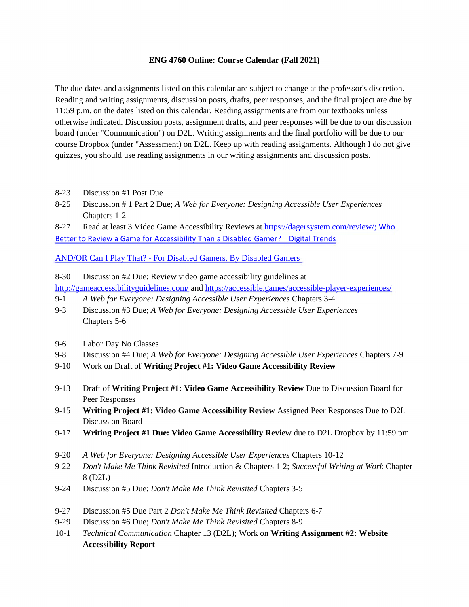#### **ENG 4760 Online: Course Calendar (Fall 2021)**

The due dates and assignments listed on this calendar are subject to change at the professor's discretion. Reading and writing assignments, discussion posts, drafts, peer responses, and the final project are due by 11:59 p.m. on the dates listed on this calendar. Reading assignments are from our textbooks unless otherwise indicated. Discussion posts, assignment drafts, and peer responses will be due to our discussion board (under "Communication") on D2L. Writing assignments and the final portfolio will be due to our course Dropbox (under "Assessment) on D2L. Keep up with reading assignments. Although I do not give quizzes, you should use reading assignments in our writing assignments and discussion posts.

- 8-23 Discussion #1 Post Due
- 8-25 Discussion # 1 Part 2 Due; *A Web for Everyone: Designing Accessible User Experiences* Chapters 1-2
- 8-27 Read at least 3 Video Game Accessibility Reviews at [https://dagersystem.com/review/;](https://dagersystem.com/review/) [Who](https://www.digitaltrends.com/gaming/who-better-to-review-a-game-for-accessibility-than-a-disabled-gamer/)

[Better to Review a Game for Accessibility Than a Disabled Gamer? | Digital Trends](https://www.digitaltrends.com/gaming/who-better-to-review-a-game-for-accessibility-than-a-disabled-gamer/)

AND/OR [Can I Play That? - For Disabled Gamers, By Disabled Gamers](https://caniplaythat.com/) 

- 8-30 Discussion #2 Due; Review video game accessibility guidelines at
- <http://gameaccessibilityguidelines.com/> and<https://accessible.games/accessible-player-experiences/>
- 9-1 *A Web for Everyone: Designing Accessible User Experiences* Chapters 3-4
- 9-3 Discussion #3 Due; *A Web for Everyone: Designing Accessible User Experiences* Chapters 5-6
- 9-6 Labor Day No Classes
- 9-8 Discussion #4 Due; *A Web for Everyone: Designing Accessible User Experiences* Chapters 7-9
- 9-10 Work on Draft of **Writing Project #1: Video Game Accessibility Review**
- 9-13 Draft of **Writing Project #1: Video Game Accessibility Review** Due to Discussion Board for Peer Responses
- 9-15 **Writing Project #1: Video Game Accessibility Review** Assigned Peer Responses Due to D2L Discussion Board
- 9-17 **Writing Project #1 Due: Video Game Accessibility Review** due to D2L Dropbox by 11:59 pm
- 9-20 *A Web for Everyone: Designing Accessible User Experiences* Chapters 10-12
- 9-22 *Don't Make Me Think Revisited* Introduction & Chapters 1-2; *Successful Writing at Work* Chapter 8 (D2L)
- 9-24 Discussion #5 Due; *Don't Make Me Think Revisited* Chapters 3-5
- 9-27 Discussion #5 Due Part 2 *Don't Make Me Think Revisited* Chapters 6-7
- 9-29 Discussion #6 Due; *Don't Make Me Think Revisited* Chapters 8-9
- 10-1 *Technical Communication* Chapter 13 (D2L); Work on **Writing Assignment #2: Website Accessibility Report**